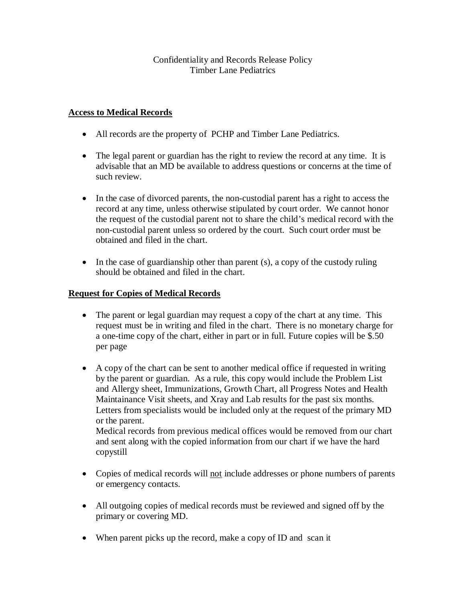## Confidentiality and Records Release Policy Timber Lane Pediatrics

## **Access to Medical Records**

- All records are the property of PCHP and Timber Lane Pediatrics.
- The legal parent or guardian has the right to review the record at any time. It is advisable that an MD be available to address questions or concerns at the time of such review.
- In the case of divorced parents, the non-custodial parent has a right to access the record at any time, unless otherwise stipulated by court order. We cannot honor the request of the custodial parent not to share the child's medical record with the non-custodial parent unless so ordered by the court. Such court order must be obtained and filed in the chart.
- In the case of guardianship other than parent (s), a copy of the custody ruling should be obtained and filed in the chart.

## **Request for Copies of Medical Records**

- The parent or legal guardian may request a copy of the chart at any time. This request must be in writing and filed in the chart. There is no monetary charge for a one-time copy of the chart, either in part or in full. Future copies will be \$.50 per page
- A copy of the chart can be sent to another medical office if requested in writing by the parent or guardian. As a rule, this copy would include the Problem List and Allergy sheet, Immunizations, Growth Chart, all Progress Notes and Health Maintainance Visit sheets, and Xray and Lab results for the past six months. Letters from specialists would be included only at the request of the primary MD or the parent.

Medical records from previous medical offices would be removed from our chart and sent along with the copied information from our chart if we have the hard copystill

- Copies of medical records will not include addresses or phone numbers of parents or emergency contacts.
- All outgoing copies of medical records must be reviewed and signed off by the primary or covering MD.
- When parent picks up the record, make a copy of ID and scan it